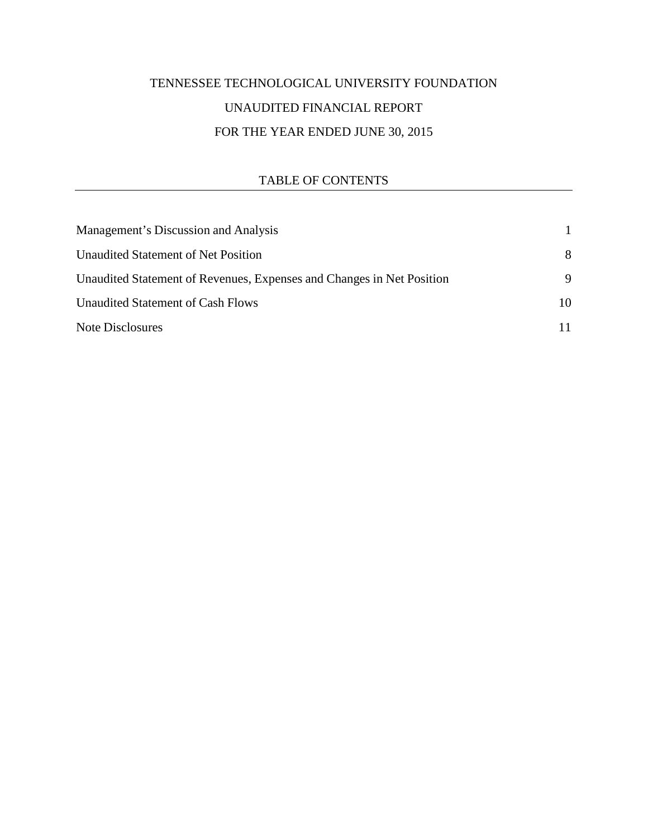# TENNESSEE TECHNOLOGICAL UNIVERSITY FOUNDATION UNAUDITED FINANCIAL REPORT FOR THE YEAR ENDED JUNE 30, 2015

## TABLE OF CONTENTS

| Management's Discussion and Analysis                                  |    |
|-----------------------------------------------------------------------|----|
| Unaudited Statement of Net Position                                   | 8  |
| Unaudited Statement of Revenues, Expenses and Changes in Net Position | 9  |
| Unaudited Statement of Cash Flows                                     | 10 |
| Note Disclosures                                                      |    |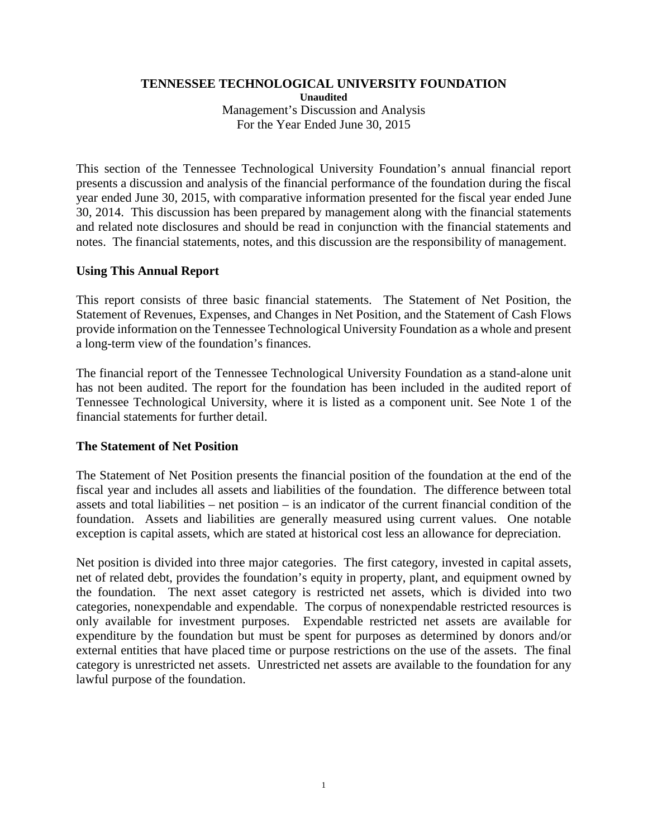## **TENNESSEE TECHNOLOGICAL UNIVERSITY FOUNDATION**

**Unaudited** Management's Discussion and Analysis For the Year Ended June 30, 2015

This section of the Tennessee Technological University Foundation's annual financial report presents a discussion and analysis of the financial performance of the foundation during the fiscal year ended June 30, 2015, with comparative information presented for the fiscal year ended June 30, 2014. This discussion has been prepared by management along with the financial statements and related note disclosures and should be read in conjunction with the financial statements and notes. The financial statements, notes, and this discussion are the responsibility of management.

## **Using This Annual Report**

This report consists of three basic financial statements. The Statement of Net Position, the Statement of Revenues, Expenses, and Changes in Net Position, and the Statement of Cash Flows provide information on the Tennessee Technological University Foundation as a whole and present a long-term view of the foundation's finances.

The financial report of the Tennessee Technological University Foundation as a stand-alone unit has not been audited. The report for the foundation has been included in the audited report of Tennessee Technological University, where it is listed as a component unit. See Note 1 of the financial statements for further detail.

## **The Statement of Net Position**

The Statement of Net Position presents the financial position of the foundation at the end of the fiscal year and includes all assets and liabilities of the foundation. The difference between total assets and total liabilities – net position – is an indicator of the current financial condition of the foundation. Assets and liabilities are generally measured using current values. One notable exception is capital assets, which are stated at historical cost less an allowance for depreciation.

Net position is divided into three major categories. The first category, invested in capital assets, net of related debt, provides the foundation's equity in property, plant, and equipment owned by the foundation. The next asset category is restricted net assets, which is divided into two categories, nonexpendable and expendable. The corpus of nonexpendable restricted resources is only available for investment purposes. Expendable restricted net assets are available for expenditure by the foundation but must be spent for purposes as determined by donors and/or external entities that have placed time or purpose restrictions on the use of the assets. The final category is unrestricted net assets. Unrestricted net assets are available to the foundation for any lawful purpose of the foundation.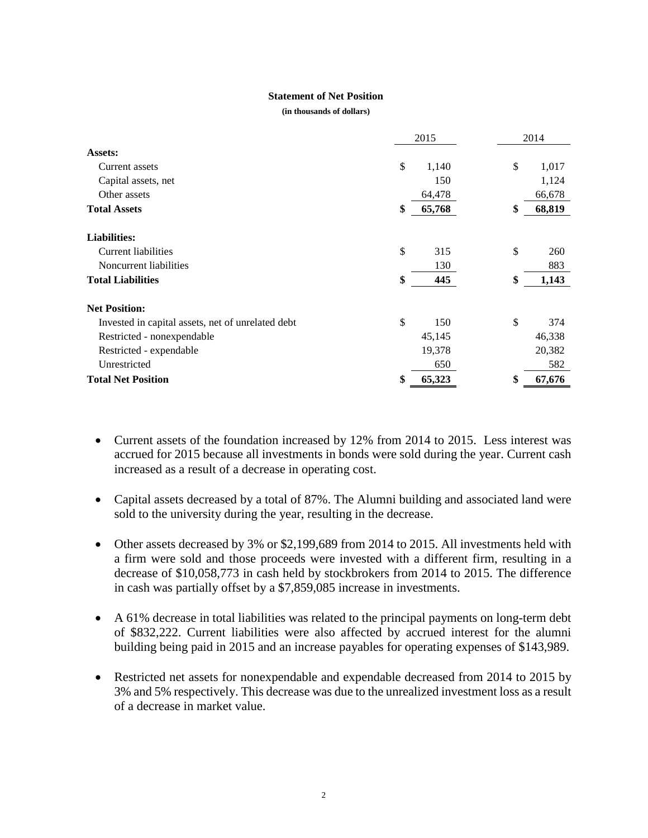### **Statement of Net Position**

**(in thousands of dollars)**

|                                                   | 2015         |    | 2014   |  |
|---------------------------------------------------|--------------|----|--------|--|
| Assets:                                           |              |    |        |  |
| Current assets                                    | \$<br>1,140  | \$ | 1,017  |  |
| Capital assets, net                               | 150          |    | 1,124  |  |
| Other assets                                      | 64,478       |    | 66,678 |  |
| <b>Total Assets</b>                               | \$<br>65,768 | \$ | 68,819 |  |
| <b>Liabilities:</b>                               |              |    |        |  |
| Current liabilities                               | \$<br>315    | \$ | 260    |  |
| Noncurrent liabilities                            | 130          |    | 883    |  |
| <b>Total Liabilities</b>                          | \$<br>445    | \$ | 1,143  |  |
| <b>Net Position:</b>                              |              |    |        |  |
| Invested in capital assets, net of unrelated debt | \$<br>150    | \$ | 374    |  |
| Restricted - nonexpendable                        | 45,145       |    | 46,338 |  |
| Restricted - expendable                           | 19,378       |    | 20,382 |  |
| Unrestricted                                      | 650          |    | 582    |  |
| <b>Total Net Position</b>                         | \$<br>65,323 | \$ | 67,676 |  |

- Current assets of the foundation increased by 12% from 2014 to 2015. Less interest was accrued for 2015 because all investments in bonds were sold during the year. Current cash increased as a result of a decrease in operating cost.
- Capital assets decreased by a total of 87%. The Alumni building and associated land were sold to the university during the year, resulting in the decrease.
- Other assets decreased by 3% or \$2,199,689 from 2014 to 2015. All investments held with a firm were sold and those proceeds were invested with a different firm, resulting in a decrease of \$10,058,773 in cash held by stockbrokers from 2014 to 2015. The difference in cash was partially offset by a \$7,859,085 increase in investments.
- A 61% decrease in total liabilities was related to the principal payments on long-term debt of \$832,222. Current liabilities were also affected by accrued interest for the alumni building being paid in 2015 and an increase payables for operating expenses of \$143,989.
- Restricted net assets for nonexpendable and expendable decreased from 2014 to 2015 by 3% and 5% respectively. This decrease was due to the unrealized investment loss as a result of a decrease in market value.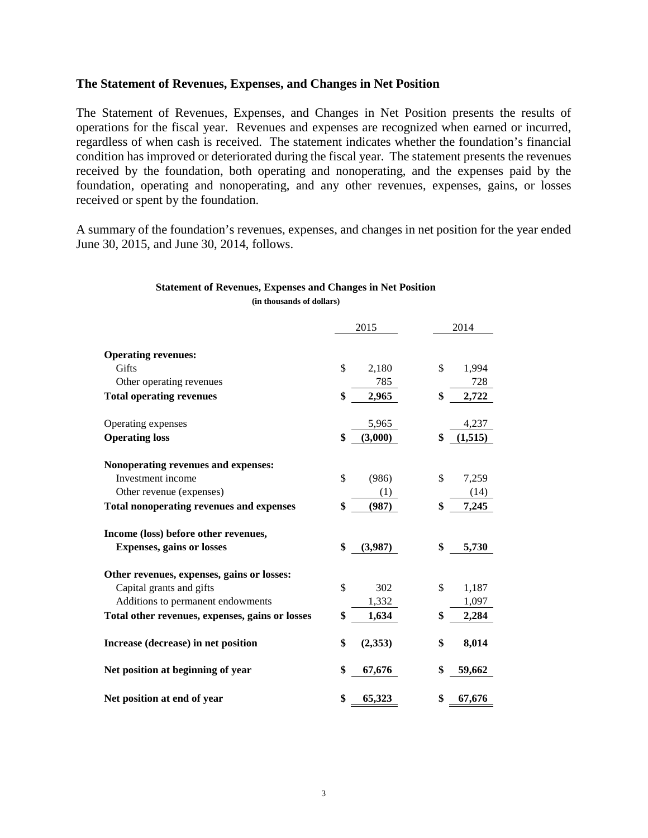## **The Statement of Revenues, Expenses, and Changes in Net Position**

The Statement of Revenues, Expenses, and Changes in Net Position presents the results of operations for the fiscal year. Revenues and expenses are recognized when earned or incurred, regardless of when cash is received. The statement indicates whether the foundation's financial condition has improved or deteriorated during the fiscal year. The statement presents the revenues received by the foundation, both operating and nonoperating, and the expenses paid by the foundation, operating and nonoperating, and any other revenues, expenses, gains, or losses received or spent by the foundation.

A summary of the foundation's revenues, expenses, and changes in net position for the year ended June 30, 2015, and June 30, 2014, follows.

## **Statement of Revenues, Expenses and Changes in Net Position**

|                                                 | 2015 |         | 2014           |  |
|-------------------------------------------------|------|---------|----------------|--|
|                                                 |      |         |                |  |
| <b>Operating revenues:</b>                      |      |         |                |  |
| Gifts                                           | \$   | 2,180   | \$<br>1,994    |  |
| Other operating revenues                        |      | 785     | 728            |  |
| <b>Total operating revenues</b>                 | \$   | 2,965   | \$<br>2,722    |  |
| Operating expenses                              |      | 5,965   | 4,237          |  |
| <b>Operating loss</b>                           | \$   | (3,000) | \$<br>(1, 515) |  |
| Nonoperating revenues and expenses:             |      |         |                |  |
| Investment income                               | \$   | (986)   | \$<br>7,259    |  |
| Other revenue (expenses)                        |      | (1)     | (14)           |  |
| <b>Total nonoperating revenues and expenses</b> | \$   | (987)   | \$<br>7,245    |  |
| Income (loss) before other revenues,            |      |         |                |  |
| <b>Expenses, gains or losses</b>                | \$   | (3,987) | \$<br>5,730    |  |
| Other revenues, expenses, gains or losses:      |      |         |                |  |
| Capital grants and gifts                        | \$   | 302     | \$<br>1,187    |  |
| Additions to permanent endowments               |      | 1,332   | 1,097          |  |
| Total other revenues, expenses, gains or losses | \$   | 1,634   | \$<br>2,284    |  |
| Increase (decrease) in net position             | \$   | (2,353) | \$<br>8,014    |  |
| Net position at beginning of year               | \$   | 67,676  | \$<br>59,662   |  |
| Net position at end of year                     | \$   | 65,323  | \$<br>67,676   |  |

**(in thousands of dollars)**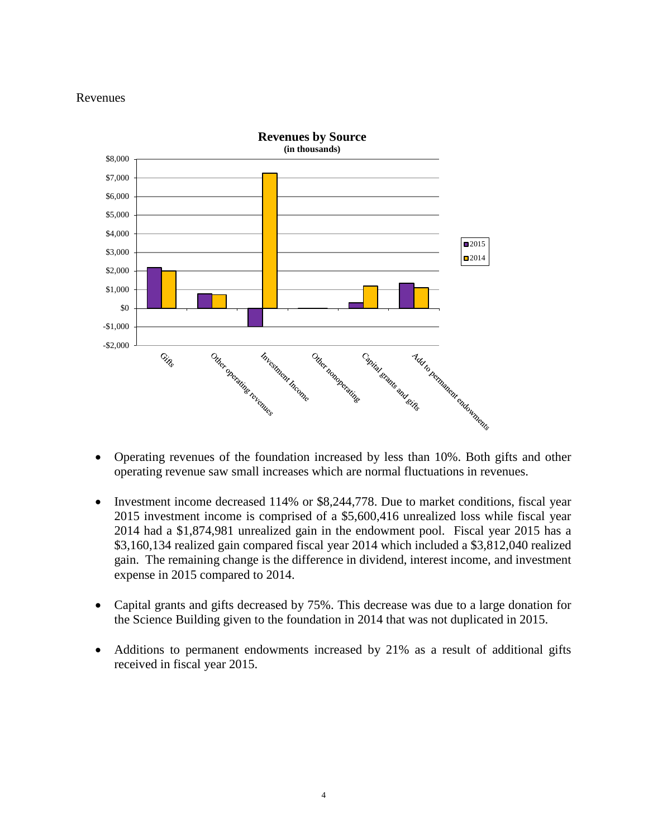## Revenues



- Operating revenues of the foundation increased by less than 10%. Both gifts and other operating revenue saw small increases which are normal fluctuations in revenues.
- Investment income decreased 114% or \$8,244,778. Due to market conditions, fiscal year 2015 investment income is comprised of a \$5,600,416 unrealized loss while fiscal year 2014 had a \$1,874,981 unrealized gain in the endowment pool. Fiscal year 2015 has a \$3,160,134 realized gain compared fiscal year 2014 which included a \$3,812,040 realized gain. The remaining change is the difference in dividend, interest income, and investment expense in 2015 compared to 2014.
- Capital grants and gifts decreased by 75%. This decrease was due to a large donation for the Science Building given to the foundation in 2014 that was not duplicated in 2015.
- Additions to permanent endowments increased by 21% as a result of additional gifts received in fiscal year 2015.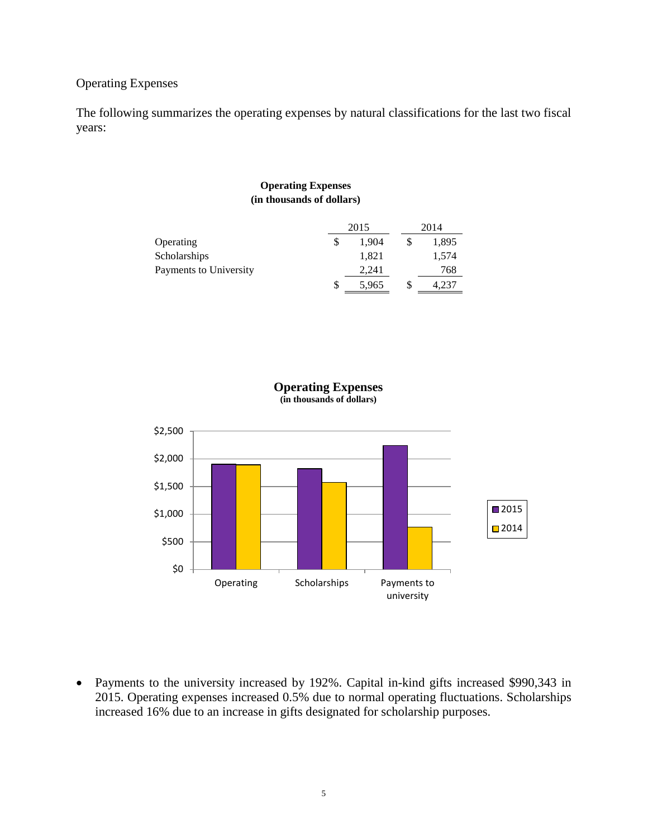## Operating Expenses

The following summarizes the operating expenses by natural classifications for the last two fiscal years:

### **Operating Expenses (in thousands of dollars)**

|                        |   | 2015  |  | 2014  |  |
|------------------------|---|-------|--|-------|--|
| Operating              |   | 1.904 |  | 1,895 |  |
| Scholarships           |   | 1,821 |  | 1,574 |  |
| Payments to University |   | 2.241 |  | 768   |  |
|                        | S | 5,965 |  | 4.237 |  |





• Payments to the university increased by 192%. Capital in-kind gifts increased \$990,343 in 2015. Operating expenses increased 0.5% due to normal operating fluctuations. Scholarships increased 16% due to an increase in gifts designated for scholarship purposes.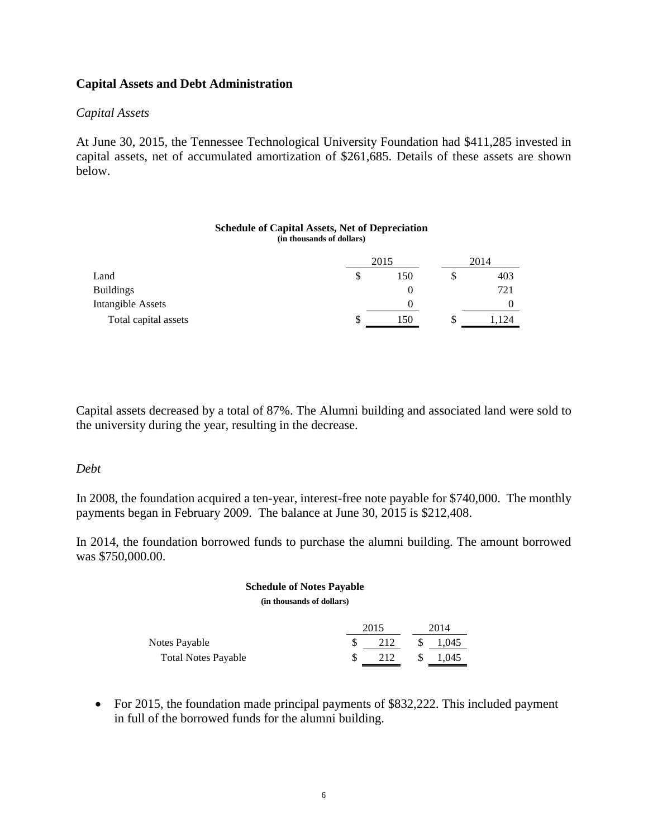## **Capital Assets and Debt Administration**

## *Capital Assets*

At June 30, 2015, the Tennessee Technological University Foundation had \$411,285 invested in capital assets, net of accumulated amortization of \$261,685. Details of these assets are shown below.

### **Schedule of Capital Assets, Net of Depreciation (in thousands of dollars)**

|                      |   | 2015 | 2014 |     |  |
|----------------------|---|------|------|-----|--|
| Land                 | S | 150  |      | 403 |  |
| <b>Buildings</b>     |   |      |      | 721 |  |
| Intangible Assets    |   |      |      |     |  |
| Total capital assets | S | 150  |      | 124 |  |

Capital assets decreased by a total of 87%. The Alumni building and associated land were sold to the university during the year, resulting in the decrease.

## *Debt*

In 2008, the foundation acquired a ten-year, interest-free note payable for \$740,000. The monthly payments began in February 2009. The balance at June 30, 2015 is \$212,408.

In 2014, the foundation borrowed funds to purchase the alumni building. The amount borrowed was \$750,000.00.

### **Schedule of Notes Payable**

**(in thousands of dollars)**

|                            | 2015 |    | 2014  |  |  |
|----------------------------|------|----|-------|--|--|
| Notes Payable              | 212  | \$ | 1,045 |  |  |
| <b>Total Notes Payable</b> | 212  | S  | 1.045 |  |  |

• For 2015, the foundation made principal payments of \$832,222. This included payment in full of the borrowed funds for the alumni building.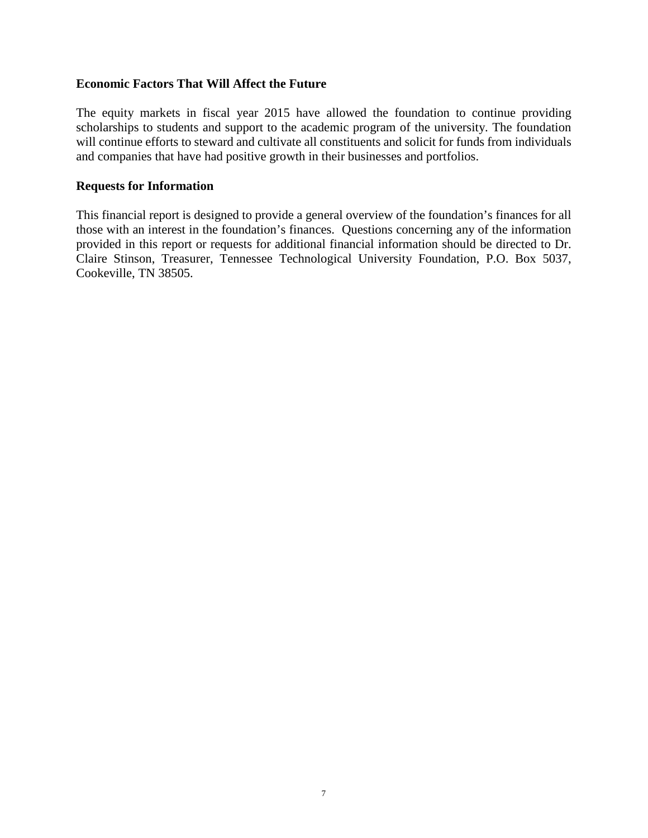## **Economic Factors That Will Affect the Future**

The equity markets in fiscal year 2015 have allowed the foundation to continue providing scholarships to students and support to the academic program of the university. The foundation will continue efforts to steward and cultivate all constituents and solicit for funds from individuals and companies that have had positive growth in their businesses and portfolios.

## **Requests for Information**

This financial report is designed to provide a general overview of the foundation's finances for all those with an interest in the foundation's finances. Questions concerning any of the information provided in this report or requests for additional financial information should be directed to Dr. Claire Stinson, Treasurer, Tennessee Technological University Foundation, P.O. Box 5037, Cookeville, TN 38505.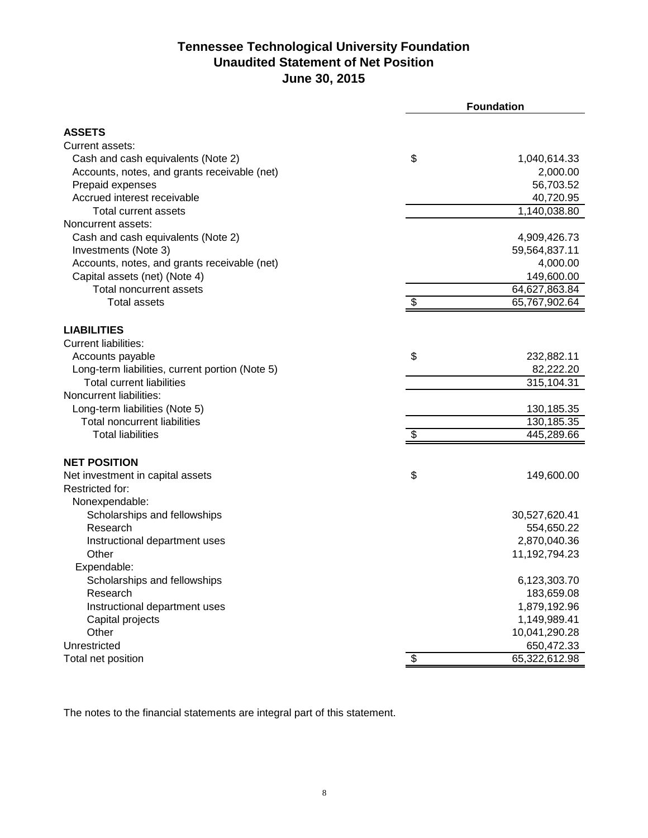## **Tennessee Technological University Foundation Unaudited Statement of Net Position June 30, 2015**

|                                                   | <b>Foundation</b> |                               |  |
|---------------------------------------------------|-------------------|-------------------------------|--|
|                                                   |                   |                               |  |
| <b>ASSETS</b>                                     |                   |                               |  |
| Current assets:                                   |                   |                               |  |
| Cash and cash equivalents (Note 2)                | \$                | 1,040,614.33                  |  |
| Accounts, notes, and grants receivable (net)      |                   | 2,000.00                      |  |
| Prepaid expenses                                  |                   | 56,703.52                     |  |
| Accrued interest receivable                       |                   | 40,720.95                     |  |
| <b>Total current assets</b><br>Noncurrent assets: |                   | 1,140,038.80                  |  |
| Cash and cash equivalents (Note 2)                |                   |                               |  |
| Investments (Note 3)                              |                   | 4,909,426.73<br>59,564,837.11 |  |
| Accounts, notes, and grants receivable (net)      |                   | 4,000.00                      |  |
| Capital assets (net) (Note 4)                     |                   | 149,600.00                    |  |
| <b>Total noncurrent assets</b>                    |                   | 64,627,863.84                 |  |
| <b>Total assets</b>                               | \$                | 65,767,902.64                 |  |
|                                                   |                   |                               |  |
| <b>LIABILITIES</b>                                |                   |                               |  |
| <b>Current liabilities:</b>                       |                   |                               |  |
| Accounts payable                                  | \$                | 232,882.11                    |  |
| Long-term liabilities, current portion (Note 5)   |                   | 82,222.20                     |  |
| <b>Total current liabilities</b>                  |                   | 315,104.31                    |  |
| Noncurrent liabilities:                           |                   |                               |  |
| Long-term liabilities (Note 5)                    |                   | 130, 185. 35                  |  |
| <b>Total noncurrent liabilities</b>               |                   | 130,185.35                    |  |
| <b>Total liabilities</b>                          | \$                | 445,289.66                    |  |
|                                                   |                   |                               |  |
| <b>NET POSITION</b>                               |                   |                               |  |
| Net investment in capital assets                  | \$                | 149,600.00                    |  |
| Restricted for:                                   |                   |                               |  |
| Nonexpendable:                                    |                   |                               |  |
| Scholarships and fellowships<br>Research          |                   | 30,527,620.41<br>554,650.22   |  |
| Instructional department uses                     |                   | 2,870,040.36                  |  |
| Other                                             |                   | 11,192,794.23                 |  |
| Expendable:                                       |                   |                               |  |
| Scholarships and fellowships                      |                   | 6,123,303.70                  |  |
| Research                                          |                   | 183,659.08                    |  |
| Instructional department uses                     |                   | 1,879,192.96                  |  |
| Capital projects                                  |                   | 1,149,989.41                  |  |
| Other                                             |                   | 10,041,290.28                 |  |
| Unrestricted                                      |                   | 650,472.33                    |  |
| Total net position                                | \$                | 65,322,612.98                 |  |
|                                                   |                   |                               |  |

The notes to the financial statements are integral part of this statement.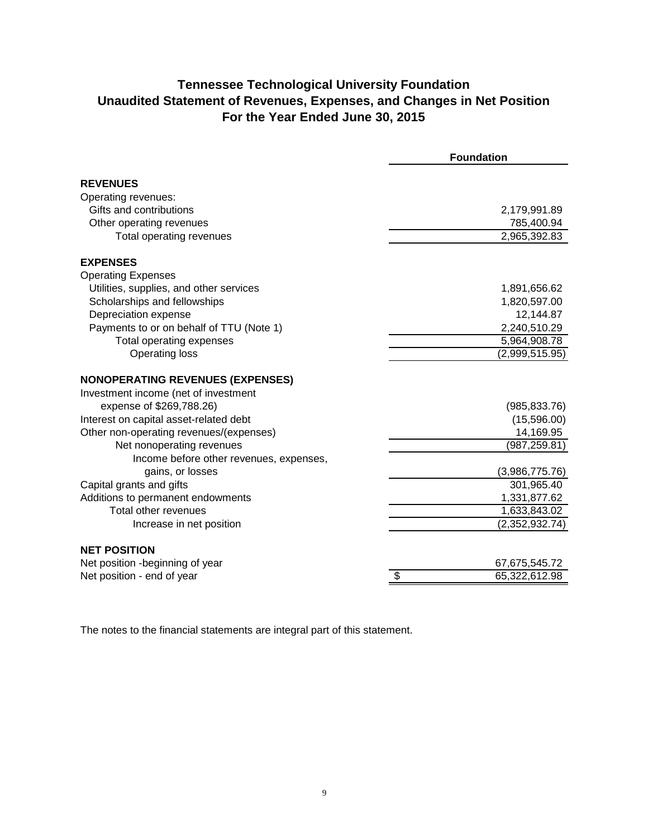## **Tennessee Technological University Foundation Unaudited Statement of Revenues, Expenses, and Changes in Net Position For the Year Ended June 30, 2015**

|                                          | <b>Foundation</b>                        |
|------------------------------------------|------------------------------------------|
| <b>REVENUES</b>                          |                                          |
| Operating revenues:                      |                                          |
| Gifts and contributions                  | 2,179,991.89                             |
| Other operating revenues                 | 785,400.94                               |
| Total operating revenues                 | 2,965,392.83                             |
| <b>EXPENSES</b>                          |                                          |
| <b>Operating Expenses</b>                |                                          |
| Utilities, supplies, and other services  | 1,891,656.62                             |
| Scholarships and fellowships             | 1,820,597.00                             |
| Depreciation expense                     | 12,144.87                                |
| Payments to or on behalf of TTU (Note 1) | 2,240,510.29                             |
| Total operating expenses                 | 5,964,908.78                             |
| <b>Operating loss</b>                    | (2,999,515.95)                           |
| <b>NONOPERATING REVENUES (EXPENSES)</b>  |                                          |
| Investment income (net of investment     |                                          |
| expense of \$269,788.26)                 | (985, 833.76)                            |
| Interest on capital asset-related debt   | (15,596.00)                              |
| Other non-operating revenues/(expenses)  | 14,169.95                                |
| Net nonoperating revenues                | (987, 259.81)                            |
| Income before other revenues, expenses,  |                                          |
| gains, or losses                         | (3,986,775.76)                           |
| Capital grants and gifts                 | 301,965.40                               |
| Additions to permanent endowments        | 1,331,877.62                             |
| Total other revenues                     | 1,633,843.02                             |
| Increase in net position                 | (2,352,932.74)                           |
| <b>NET POSITION</b>                      |                                          |
| Net position -beginning of year          | 67,675,545.72                            |
| Net position - end of year               | $\overline{\mathbf{e}}$<br>65,322,612.98 |

The notes to the financial statements are integral part of this statement.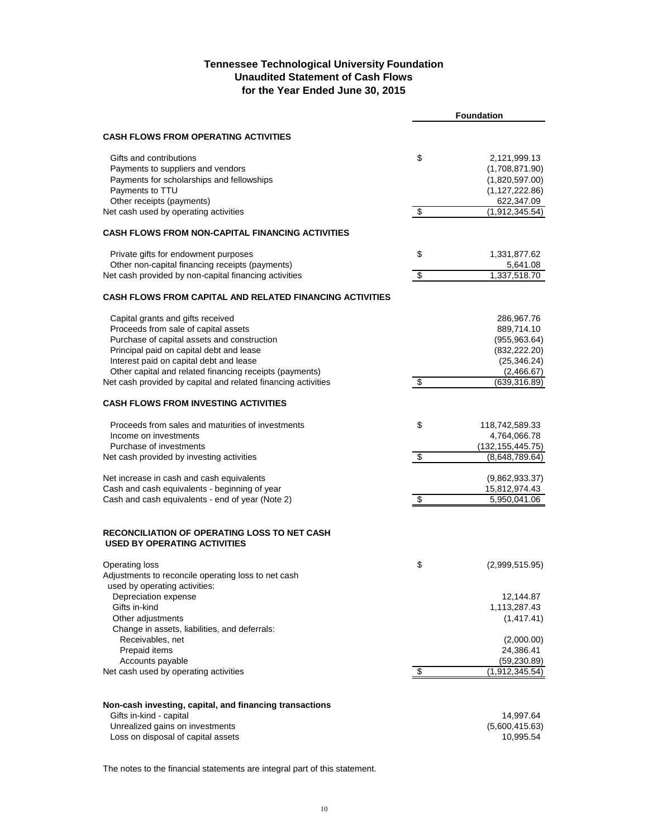### **Tennessee Technological University Foundation Unaudited Statement of Cash Flows for the Year Ended June 30, 2015**

|                                                                                            |                          | <b>Foundation</b>  |
|--------------------------------------------------------------------------------------------|--------------------------|--------------------|
| <b>CASH FLOWS FROM OPERATING ACTIVITIES</b>                                                |                          |                    |
| Gifts and contributions                                                                    |                          |                    |
|                                                                                            | \$                       | 2,121,999.13       |
| Payments to suppliers and vendors                                                          |                          | (1,708,871.90)     |
| Payments for scholarships and fellowships                                                  |                          | (1,820,597.00)     |
| Payments to TTU                                                                            |                          | (1, 127, 222.86)   |
| Other receipts (payments)                                                                  |                          | 622,347.09         |
| Net cash used by operating activities                                                      | \$                       | (1,912,345.54)     |
| <b>CASH FLOWS FROM NON-CAPITAL FINANCING ACTIVITIES</b>                                    |                          |                    |
| Private gifts for endowment purposes                                                       | \$                       | 1,331,877.62       |
| Other non-capital financing receipts (payments)                                            |                          | 5,641.08           |
| Net cash provided by non-capital financing activities                                      | \$                       | 1,337,518.70       |
| <b>CASH FLOWS FROM CAPITAL AND RELATED FINANCING ACTIVITIES</b>                            |                          |                    |
| Capital grants and gifts received                                                          |                          | 286,967.76         |
| Proceeds from sale of capital assets                                                       |                          | 889,714.10         |
| Purchase of capital assets and construction                                                |                          | (955, 963.64)      |
| Principal paid on capital debt and lease                                                   |                          |                    |
|                                                                                            |                          | (832, 222.20)      |
| Interest paid on capital debt and lease                                                    |                          | (25, 346.24)       |
| Other capital and related financing receipts (payments)                                    |                          | (2,466.67)         |
| Net cash provided by capital and related financing activities                              | \$                       | (639, 316.89)      |
| <b>CASH FLOWS FROM INVESTING ACTIVITIES</b>                                                |                          |                    |
| Proceeds from sales and maturities of investments                                          | \$                       | 118,742,589.33     |
| Income on investments                                                                      |                          | 4,764,066.78       |
| Purchase of investments                                                                    |                          | (132, 155, 445.75) |
| Net cash provided by investing activities                                                  | $\overline{\mathcal{E}}$ | (8,648,789.64)     |
| Net increase in cash and cash equivalents                                                  |                          | (9,862,933.37)     |
| Cash and cash equivalents - beginning of year                                              |                          | 15,812,974.43      |
| Cash and cash equivalents - end of year (Note 2)                                           | \$                       | 5,950,041.06       |
|                                                                                            |                          |                    |
| <b>RECONCILIATION OF OPERATING LOSS TO NET CASH</b><br><b>USED BY OPERATING ACTIVITIES</b> |                          |                    |
| <b>Operating loss</b>                                                                      | \$                       | (2,999,515.95)     |
| Adjustments to reconcile operating loss to net cash                                        |                          |                    |
| used by operating activities:                                                              |                          |                    |
| Depreciation expense                                                                       |                          | 12,144.87          |
| Gifts in-kind                                                                              |                          |                    |
|                                                                                            |                          | 1,113,287.43       |
| Other adjustments                                                                          |                          | (1, 417.41)        |
| Change in assets, liabilities, and deferrals:                                              |                          |                    |
| Receivables, net                                                                           |                          | (2,000.00)         |
| Prepaid items                                                                              |                          | 24,386.41          |
| Accounts payable                                                                           |                          | (59,230.89)        |
| Net cash used by operating activities                                                      | \$                       | (1,912,345.54)     |
|                                                                                            |                          |                    |
| Non-cash investing, capital, and financing transactions                                    |                          |                    |
| Gifts in-kind - capital                                                                    |                          | 14,997.64          |
| Unrealized gains on investments                                                            |                          | (5,600,415.63)     |
| Loss on disposal of capital assets                                                         |                          | 10,995.54          |

The notes to the financial statements are integral part of this statement.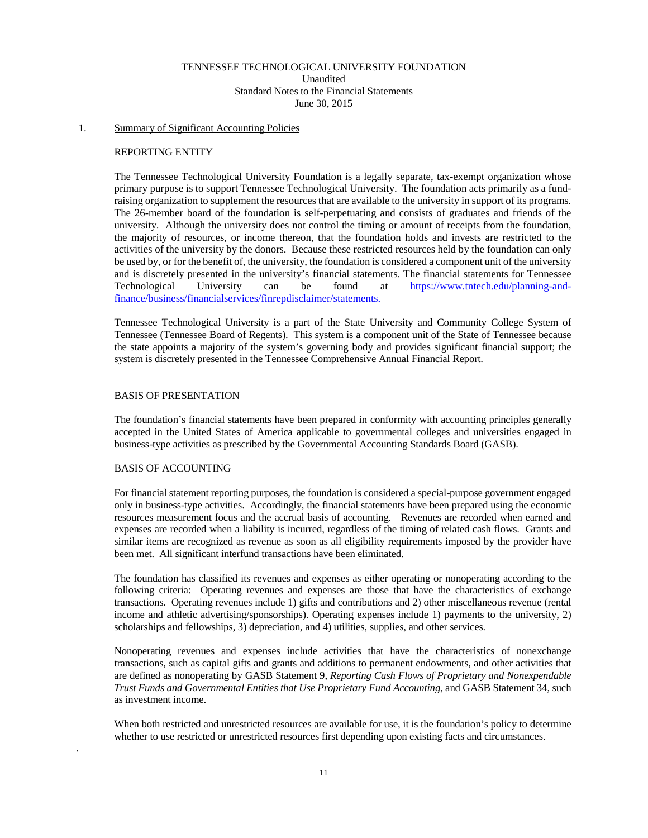### TENNESSEE TECHNOLOGICAL UNIVERSITY FOUNDATION

Unaudited

Standard Notes to the Financial Statements June 30, 2015

### 1. Summary of Significant Accounting Policies

### REPORTING ENTITY

The Tennessee Technological University Foundation is a legally separate, tax-exempt organization whose primary purpose is to support Tennessee Technological University. The foundation acts primarily as a fundraising organization to supplement the resources that are available to the university in support of its programs. The 26-member board of the foundation is self-perpetuating and consists of graduates and friends of the university. Although the university does not control the timing or amount of receipts from the foundation, the majority of resources, or income thereon, that the foundation holds and invests are restricted to the activities of the university by the donors. Because these restricted resources held by the foundation can only be used by, or for the benefit of, the university, the foundation is considered a component unit of the university and is discretely presented in the university's financial statements. The financial statements for Tennessee Technological University can be found at [https://www.tntech.edu/planning-and](https://www.tntech.edu/planning-and-finance/business/financialservices/finrepdisclaimer/statements.)[finance/business/financialservices/finrepdisclaimer/statements.](https://www.tntech.edu/planning-and-finance/business/financialservices/finrepdisclaimer/statements.)

Tennessee Technological University is a part of the State University and Community College System of Tennessee (Tennessee Board of Regents). This system is a component unit of the State of Tennessee because the state appoints a majority of the system's governing body and provides significant financial support; the system is discretely presented in the Tennessee Comprehensive Annual Financial Report.

### BASIS OF PRESENTATION

The foundation's financial statements have been prepared in conformity with accounting principles generally accepted in the United States of America applicable to governmental colleges and universities engaged in business-type activities as prescribed by the Governmental Accounting Standards Board (GASB).

### BASIS OF ACCOUNTING

.

For financial statement reporting purposes, the foundation is considered a special-purpose government engaged only in business-type activities. Accordingly, the financial statements have been prepared using the economic resources measurement focus and the accrual basis of accounting. Revenues are recorded when earned and expenses are recorded when a liability is incurred, regardless of the timing of related cash flows. Grants and similar items are recognized as revenue as soon as all eligibility requirements imposed by the provider have been met. All significant interfund transactions have been eliminated.

The foundation has classified its revenues and expenses as either operating or nonoperating according to the following criteria: Operating revenues and expenses are those that have the characteristics of exchange transactions. Operating revenues include 1) gifts and contributions and 2) other miscellaneous revenue (rental income and athletic advertising/sponsorships). Operating expenses include 1) payments to the university, 2) scholarships and fellowships, 3) depreciation, and 4) utilities, supplies, and other services.

Nonoperating revenues and expenses include activities that have the characteristics of nonexchange transactions, such as capital gifts and grants and additions to permanent endowments, and other activities that are defined as nonoperating by GASB Statement 9, *Reporting Cash Flows of Proprietary and Nonexpendable Trust Funds and Governmental Entities that Use Proprietary Fund Accounting*, and GASB Statement 34, such as investment income.

When both restricted and unrestricted resources are available for use, it is the foundation's policy to determine whether to use restricted or unrestricted resources first depending upon existing facts and circumstances.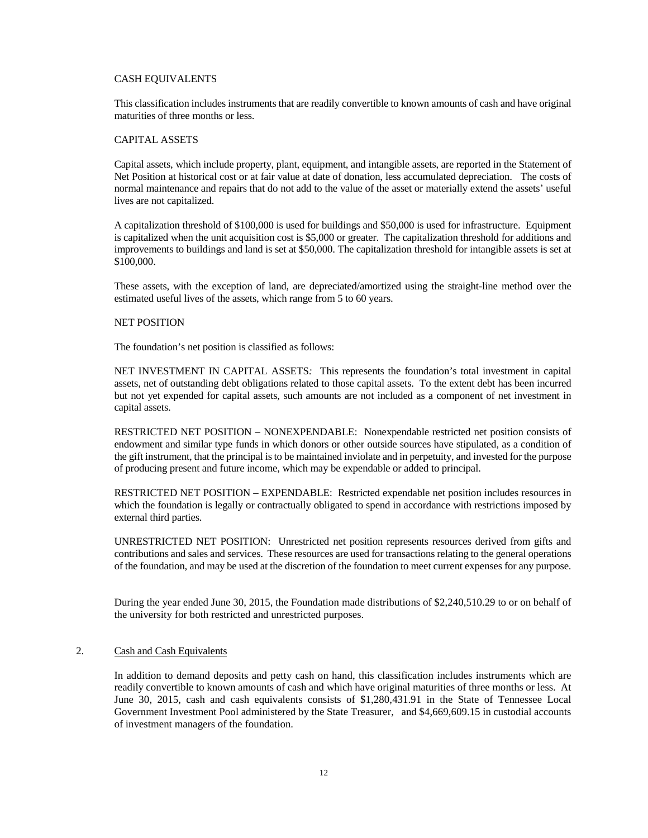### CASH EQUIVALENTS

This classification includes instruments that are readily convertible to known amounts of cash and have original maturities of three months or less.

### CAPITAL ASSETS

Capital assets, which include property, plant, equipment, and intangible assets, are reported in the Statement of Net Position at historical cost or at fair value at date of donation, less accumulated depreciation. The costs of normal maintenance and repairs that do not add to the value of the asset or materially extend the assets' useful lives are not capitalized.

A capitalization threshold of \$100,000 is used for buildings and \$50,000 is used for infrastructure. Equipment is capitalized when the unit acquisition cost is \$5,000 or greater. The capitalization threshold for additions and improvements to buildings and land is set at \$50,000. The capitalization threshold for intangible assets is set at \$100,000.

These assets, with the exception of land, are depreciated/amortized using the straight-line method over the estimated useful lives of the assets, which range from 5 to 60 years.

### NET POSITION

The foundation's net position is classified as follows:

NET INVESTMENT IN CAPITAL ASSETS*:* This represents the foundation's total investment in capital assets, net of outstanding debt obligations related to those capital assets. To the extent debt has been incurred but not yet expended for capital assets, such amounts are not included as a component of net investment in capital assets.

RESTRICTED NET POSITION – NONEXPENDABLE: Nonexpendable restricted net position consists of endowment and similar type funds in which donors or other outside sources have stipulated, as a condition of the gift instrument, that the principal is to be maintained inviolate and in perpetuity, and invested for the purpose of producing present and future income, which may be expendable or added to principal.

RESTRICTED NET POSITION – EXPENDABLE: Restricted expendable net position includes resources in which the foundation is legally or contractually obligated to spend in accordance with restrictions imposed by external third parties.

UNRESTRICTED NET POSITION: Unrestricted net position represents resources derived from gifts and contributions and sales and services. These resources are used for transactions relating to the general operations of the foundation, and may be used at the discretion of the foundation to meet current expenses for any purpose.

During the year ended June 30, 2015, the Foundation made distributions of \$2,240,510.29 to or on behalf of the university for both restricted and unrestricted purposes.

### 2. Cash and Cash Equivalents

In addition to demand deposits and petty cash on hand, this classification includes instruments which are readily convertible to known amounts of cash and which have original maturities of three months or less. At June 30, 2015, cash and cash equivalents consists of \$1,280,431.91 in the State of Tennessee Local Government Investment Pool administered by the State Treasurer, and \$4,669,609.15 in custodial accounts of investment managers of the foundation.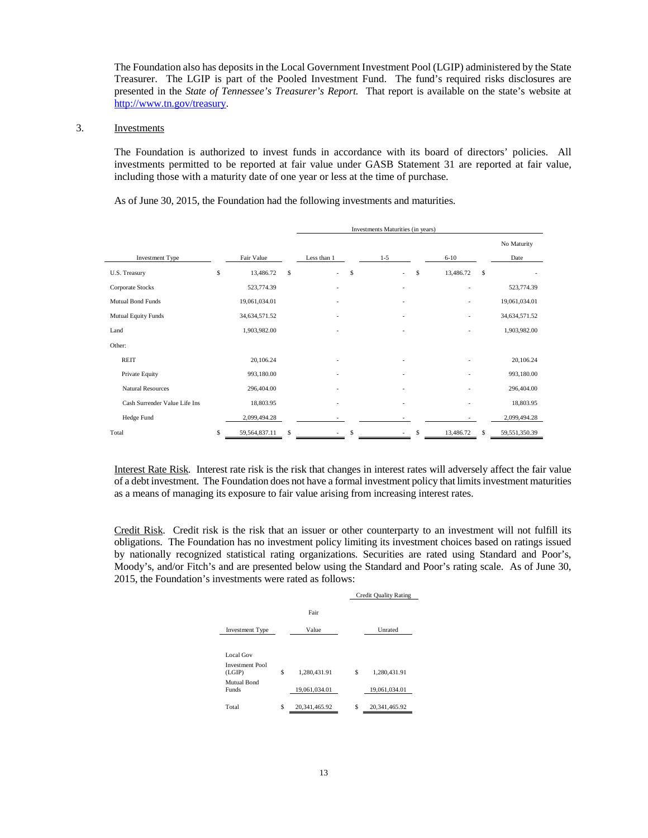The Foundation also has deposits in the Local Government Investment Pool (LGIP) administered by the State Treasurer. The LGIP is part of the Pooled Investment Fund. The fund's required risks disclosures are presented in the *State of Tennessee's Treasurer's Report.* That report is available on the state's website at [http://www.tn.gov/treasury.](http://www.tn.gov/treasury)

### 3. Investments

The Foundation is authorized to invest funds in accordance with its board of directors' policies. All investments permitted to be reported at fair value under GASB Statement 31 are reported at fair value, including those with a maturity date of one year or less at the time of purchase.

As of June 30, 2015, the Foundation had the following investments and maturities.

|                               | Investments Maturities (in years) |    |             |         |    |                |               |
|-------------------------------|-----------------------------------|----|-------------|---------|----|----------------|---------------|
|                               |                                   |    |             |         |    |                | No Maturity   |
| Investment Type               | Fair Value                        |    | Less than 1 | $1 - 5$ |    | $6 - 10$       | Date          |
| U.S. Treasury                 | \$<br>13,486.72                   | \$ | \$<br>÷     | ÷       | \$ | 13,486.72<br>S |               |
| Corporate Stocks              | 523,774.39                        |    |             |         |    |                | 523,774.39    |
| <b>Mutual Bond Funds</b>      | 19,061,034.01                     |    |             |         |    |                | 19,061,034.01 |
| Mutual Equity Funds           | 34,634,571.52                     |    |             |         |    |                | 34,634,571.52 |
| Land                          | 1,903,982.00                      |    |             |         |    |                | 1,903,982.00  |
| Other:                        |                                   |    |             |         |    |                |               |
| <b>REIT</b>                   | 20,106.24                         |    |             |         |    |                | 20,106.24     |
| Private Equity                | 993,180.00                        |    |             |         |    |                | 993,180.00    |
| <b>Natural Resources</b>      | 296,404.00                        |    |             |         |    |                | 296,404.00    |
| Cash Surrender Value Life Ins | 18,803.95                         |    |             |         |    |                | 18,803.95     |
| Hedge Fund                    | 2,099,494.28                      |    |             |         |    |                | 2,099,494.28  |
| Total                         | \$<br>59,564,837.11               | Ŝ  | \$          |         | \$ | 13,486.72<br>S | 59,551,350.39 |

Interest Rate Risk*.* Interest rate risk is the risk that changes in interest rates will adversely affect the fair value of a debt investment. The Foundation does not have a formal investment policy that limits investment maturities as a means of managing its exposure to fair value arising from increasing interest rates.

Credit Risk. Credit risk is the risk that an issuer or other counterparty to an investment will not fulfill its obligations. The Foundation has no investment policy limiting its investment choices based on ratings issued by nationally recognized statistical rating organizations. Securities are rated using Standard and Poor's, Moody's, and/or Fitch's and are presented below using the Standard and Poor's rating scale. As of June 30, 2015, the Foundation's investments were rated as follows:

|                                               |   | <b>Credit Quality Rating</b> |     |               |
|-----------------------------------------------|---|------------------------------|-----|---------------|
| <b>Investment Type</b>                        |   | Fair<br>Value                |     | Unrated       |
| Local Gov<br><b>Investment Pool</b><br>(LGIP) | S | 1.280,431.91                 | \$. | 1.280,431.91  |
| Mutual Bond<br><b>Funds</b>                   |   | 19,061,034.01                |     | 19.061.034.01 |
| Total                                         | S | 20.341.465.92                | S   | 20.341.465.92 |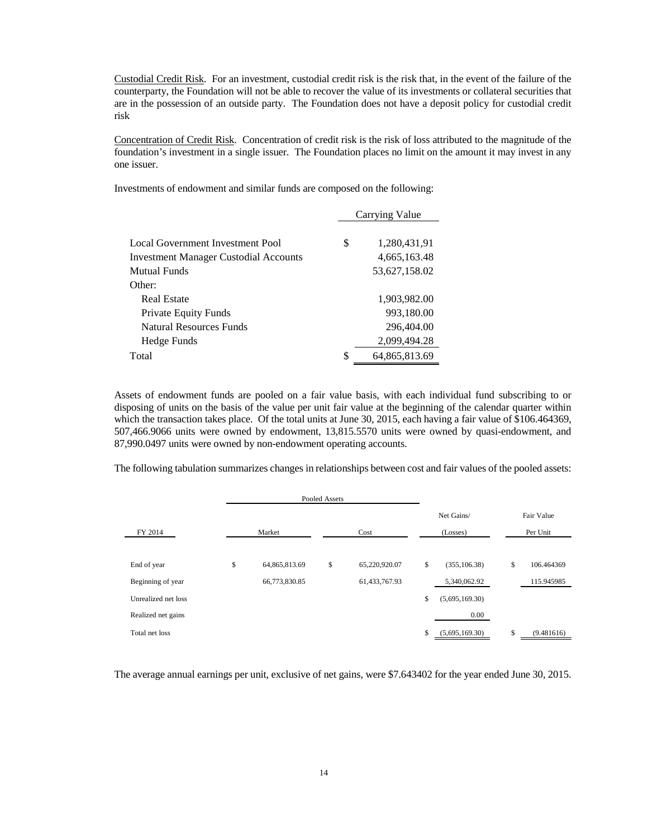Custodial Credit Risk. For an investment, custodial credit risk is the risk that, in the event of the failure of the counterparty, the Foundation will not be able to recover the value of its investments or collateral securities that are in the possession of an outside party. The Foundation does not have a deposit policy for custodial credit risk

Concentration of Credit Risk. Concentration of credit risk is the risk of loss attributed to the magnitude of the foundation's investment in a single issuer. The Foundation places no limit on the amount it may invest in any one issuer.

Investments of endowment and similar funds are composed on the following:

| Carrying Value      |
|---------------------|
| \$<br>1,280,431,91  |
| 4,665,163.48        |
| 53,627,158.02       |
|                     |
| 1,903,982.00        |
| 993,180.00          |
| 296,404.00          |
| 2,099,494.28        |
| \$<br>64,865,813.69 |
|                     |

Assets of endowment funds are pooled on a fair value basis, with each individual fund subscribing to or disposing of units on the basis of the value per unit fair value at the beginning of the calendar quarter within which the transaction takes place. Of the total units at June 30, 2015, each having a fair value of \$106.464369, 507,466.9066 units were owned by endowment, 13,815.5570 units were owned by quasi-endowment, and 87,990.0497 units were owned by non-endowment operating accounts.

The following tabulation summarizes changes in relationships between cost and fair values of the pooled assets:

|                     |        |               | Pooled Assets |               |                      |                  |  |  |
|---------------------|--------|---------------|---------------|---------------|----------------------|------------------|--|--|
|                     |        |               |               |               | Net Gains/           | Fair Value       |  |  |
| FY 2014             | Market |               |               | Cost          | (Losses)             | Per Unit         |  |  |
|                     |        |               |               |               |                      |                  |  |  |
| End of year         | \$     | 64,865,813.69 | \$            | 65,220,920.07 | \$<br>(355, 106.38)  | \$<br>106.464369 |  |  |
| Beginning of year   |        | 66,773,830.85 |               | 61,433,767.93 | 5,340,062.92         | 115.945985       |  |  |
| Unrealized net loss |        |               |               |               | \$<br>(5,695,169.30) |                  |  |  |
| Realized net gains  |        |               |               |               | 0.00                 |                  |  |  |
| Total net loss      |        |               |               |               | \$<br>(5,695,169.30) | \$<br>(9.481616) |  |  |

The average annual earnings per unit, exclusive of net gains, were \$7.643402 for the year ended June 30, 2015.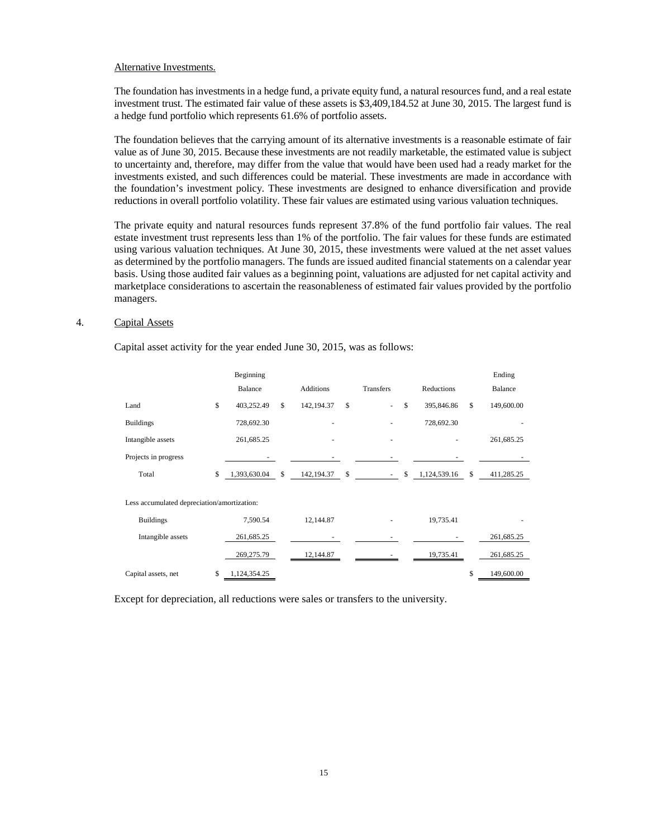#### Alternative Investments.

The foundation has investments in a hedge fund, a private equity fund, a natural resources fund, and a real estate investment trust. The estimated fair value of these assets is \$3,409,184.52 at June 30, 2015. The largest fund is a hedge fund portfolio which represents 61.6% of portfolio assets.

The foundation believes that the carrying amount of its alternative investments is a reasonable estimate of fair value as of June 30, 2015. Because these investments are not readily marketable, the estimated value is subject to uncertainty and, therefore, may differ from the value that would have been used had a ready market for the investments existed, and such differences could be material. These investments are made in accordance with the foundation's investment policy. These investments are designed to enhance diversification and provide reductions in overall portfolio volatility. These fair values are estimated using various valuation techniques.

The private equity and natural resources funds represent 37.8% of the fund portfolio fair values. The real estate investment trust represents less than 1% of the portfolio. The fair values for these funds are estimated using various valuation techniques. At June 30, 2015, these investments were valued at the net asset values as determined by the portfolio managers. The funds are issued audited financial statements on a calendar year basis. Using those audited fair values as a beginning point, valuations are adjusted for net capital activity and marketplace considerations to ascertain the reasonableness of estimated fair values provided by the portfolio managers.

### 4. Capital Assets

Capital asset activity for the year ended June 30, 2015, was as follows:

|                                             |              | Beginning    |              |                  |                  |                    | Ending           |
|---------------------------------------------|--------------|--------------|--------------|------------------|------------------|--------------------|------------------|
|                                             |              | Balance      |              | <b>Additions</b> | <b>Transfers</b> | Reductions         | Balance          |
| Land                                        | $\mathbb{S}$ | 403,252.49   | $\mathbb{S}$ | 142, 194. 37     | \$<br>÷,         | \$<br>395,846.86   | \$<br>149,600.00 |
| <b>Buildings</b>                            |              | 728,692.30   |              | ٠                |                  | 728,692.30         |                  |
| Intangible assets                           |              | 261,685.25   |              |                  | ٠                |                    | 261,685.25       |
| Projects in progress                        |              |              |              |                  |                  |                    |                  |
| Total                                       | \$           | 1,393,630.04 | \$           | 142, 194. 37     | \$<br>$\sim$     | \$<br>1,124,539.16 | \$<br>411,285.25 |
|                                             |              |              |              |                  |                  |                    |                  |
| Less accumulated depreciation/amortization: |              |              |              |                  |                  |                    |                  |
| <b>Buildings</b>                            |              | 7,590.54     |              | 12,144.87        |                  | 19,735.41          |                  |
| Intangible assets                           |              | 261,685.25   |              |                  |                  |                    | 261,685.25       |
|                                             |              | 269,275.79   |              | 12,144.87        |                  | 19,735.41          | 261,685.25       |
| Capital assets, net                         | \$           | 1,124,354.25 |              |                  |                  |                    | \$<br>149,600.00 |
|                                             |              |              |              |                  |                  |                    |                  |

Except for depreciation, all reductions were sales or transfers to the university.